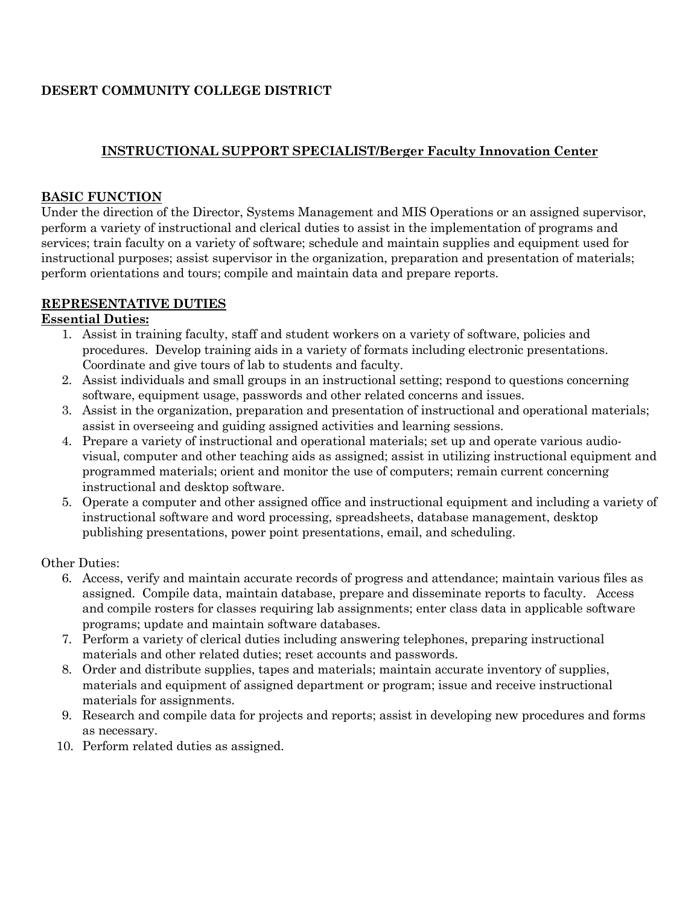# **DESERT COMMUNITY COLLEGE DISTRICT**

## **INSTRUCTIONAL SUPPORT SPECIALIST/Berger Faculty Innovation Center**

#### **BASIC FUNCTION**

Under the direction of the Director, Systems Management and MIS Operations or an assigned supervisor, perform a variety of instructional and clerical duties to assist in the implementation of programs and services; train faculty on a variety of software; schedule and maintain supplies and equipment used for instructional purposes; assist supervisor in the organization, preparation and presentation of materials; perform orientations and tours; compile and maintain data and prepare reports.

## **REPRESENTATIVE DUTIES**

#### **Essential Duties:**

- 1. Assist in training faculty, staff and student workers on a variety of software, policies and procedures. Develop training aids in a variety of formats including electronic presentations. Coordinate and give tours of lab to students and faculty.
- 2. Assist individuals and small groups in an instructional setting; respond to questions concerning software, equipment usage, passwords and other related concerns and issues.
- 3. Assist in the organization, preparation and presentation of instructional and operational materials; assist in overseeing and guiding assigned activities and learning sessions.
- 4. Prepare a variety of instructional and operational materials; set up and operate various audiovisual, computer and other teaching aids as assigned; assist in utilizing instructional equipment and programmed materials; orient and monitor the use of computers; remain current concerning instructional and desktop software.
- 5. Operate a computer and other assigned office and instructional equipment and including a variety of instructional software and word processing, spreadsheets, database management, desktop publishing presentations, power point presentations, email, and scheduling.

Other Duties:

- 6. Access, verify and maintain accurate records of progress and attendance; maintain various files as assigned. Compile data, maintain database, prepare and disseminate reports to faculty. Access and compile rosters for classes requiring lab assignments; enter class data in applicable software programs; update and maintain software databases.
- 7. Perform a variety of clerical duties including answering telephones, preparing instructional materials and other related duties; reset accounts and passwords.
- 8. Order and distribute supplies, tapes and materials; maintain accurate inventory of supplies, materials and equipment of assigned department or program; issue and receive instructional materials for assignments.
- 9. Research and compile data for projects and reports; assist in developing new procedures and forms as necessary.
- 10. Perform related duties as assigned.